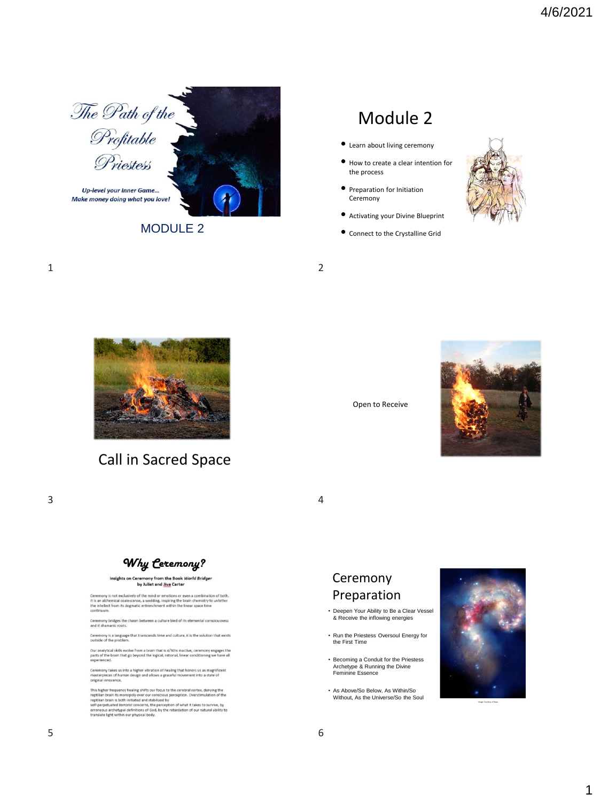

MODULE 2

# Module 2

- Learn about living ceremony
- How to create a clear intention for the process
- Preparation for Initiation **Ceremony**
- Activating your Divine Blueprint
- Connect to the Crystalline Grid



1 2



## Call in Sacred Space





 $3 \overline{4}$ 



## Insights on Ceremony from the Book World Bridger<br>by Juliet and Jiva Carter

Ceremony is not exclusively of the mind or emotions or even a combination of both.<br>It is an alchemical coalescence, a wedding, inspiring the brain chemistry to unfetter<br>the intellect from its dogmatic entrenchment within t

ny bridges the chasm between a culture bled of its ele

ny is a language that transcends time and culture, it is the solution that exists<br>of the problem.

oussee or use procents.<br>Our analytical skills evolve from a brain that is 4/5ths inactive, ceremony engages the<br>parts of the brain that go beyond the logical, rational, linear conditioning we have all<br>experienced.

Ceremony takes us into a higher vibration of healing that honors us as magnificent<br>masterpieces of human design and allows a graceful movement into a state of<br>original innocence.

This higher frequency healing shifts our focus to the cerebral cortex, denying the repullian brain its monopoly over our conscious perception. Overstimulation of the repullian brain is both initiated and stabilized by self



- Becoming a Conduit for the Priestess Archetype & Running the Divine Feminine Essence
- As Above/So Below, As Within/So Without, As the Universe/So the Soul



Image Courtesy of Nasa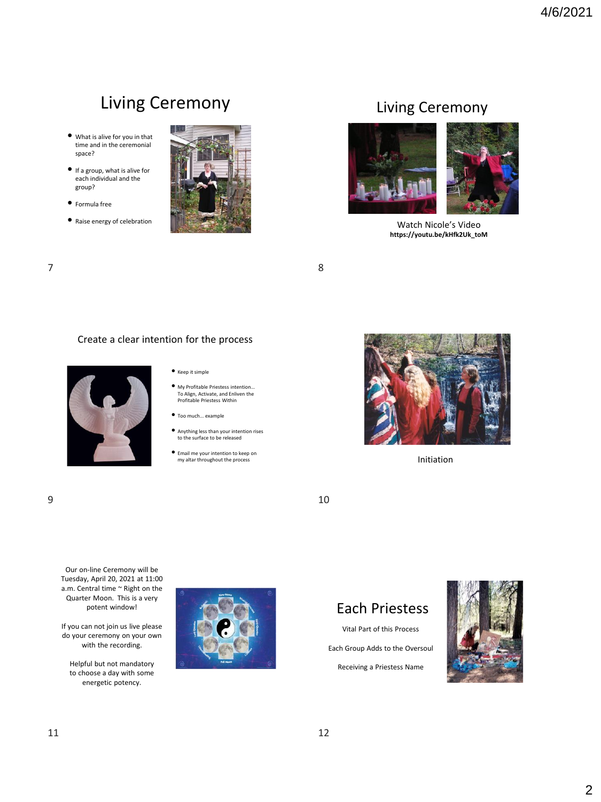# Living Ceremony

- What is alive for you in that time and in the ceremonial space?
- If a group, what is alive for each individual and the group?
- Formula free
- Raise energy of celebration



## Living Ceremony



Watch Nicole's Video **https://youtu.be/kHfk2Uk\_toM**

 $7$  8

### Create a clear intention for the process



#### • Keep it simple

- My Profitable Priestess intention... To Align, Activate, and Enliven the Profitable Priestess Within
- Too much... example
- Anything less than your intention rises to the surface to be released
- Email me your intention to keep on my altar throughout the process Initiation





Our on-line Ceremony will be Tuesday, April 20, 2021 at 11:00 a.m. Central time ~ Right on the Quarter Moon. This is a very potent window!

If you can not join us live please do your ceremony on your own with the recording.

Helpful but not mandatory to choose a day with some energetic potency.



# Each Priestess

Vital Part of this Process Each Group Adds to the Oversoul Receiving a Priestess Name

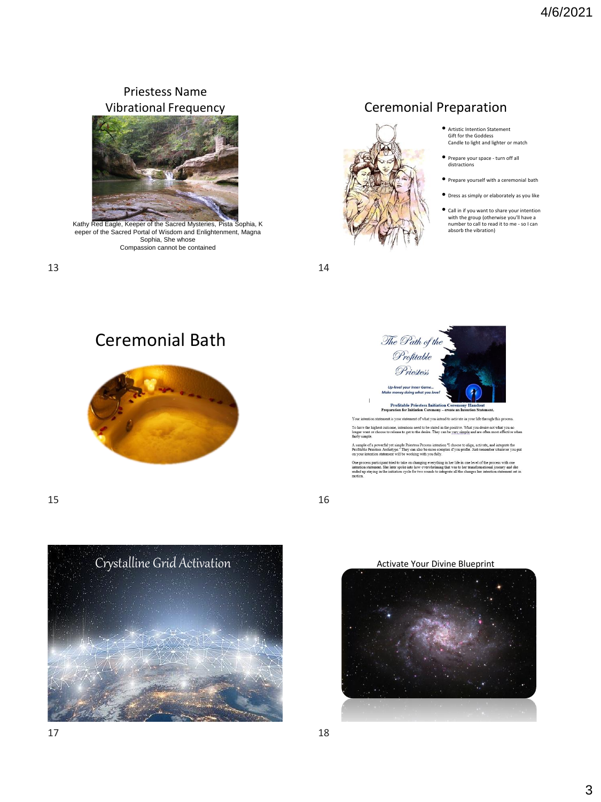## Priestess Name Vibrational Frequency



Kathy Red Eagle, Keeper of the Sacred Mysteries, Pista Sophia, K eeper of the Sacred Portal of Wisdom and Enlightenment, Magna Sophia, She whose Compassion cannot be contained

13 14

## Ceremonial Preparation

- Artistic Intention Statement Gift for the Goddess Candle to light and lighter or match
- Prepare your space turn off all distractions
- Prepare yourself with a ceremonial bath
- Dress as simply or elaborately as you like
- Call in if you want to share your intention with the group (otherwise you'll have a
- number to call to read it to me so I can absorb the vibration)

Ceremonial Bath



ent is your statement of what you intend to activate in your life through this process Your is intentions need to be stated in the positive. What you desire not what you no<br>se to get to the desire. They can be yery simple and are often most effective when Tob long<br>fairl

A sample of a pow<br>Profitable Priester werful yet simple Priestess Process intention "I choose to align, activate, and integrate the<br>ss Archetype." They can also be more complex if you prefer. Just remember whatever you pu<br>statement will be working with you ful

One process participant tried to take on changing everything in her life in one level of the procintention statement. She later spoke into how overwhelming that was to her transformational joinded up staying in the initiat ss with one<br>irney and she<br>statement set in